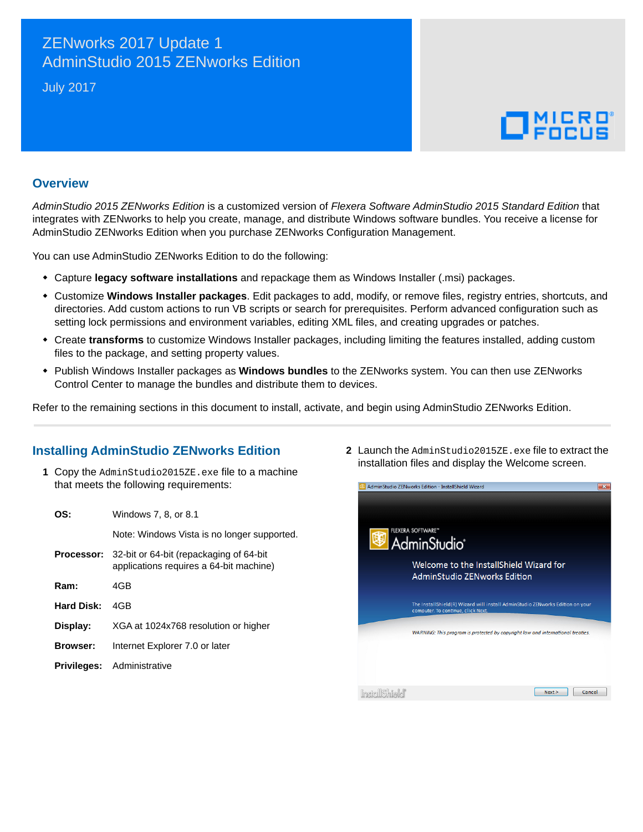# ZENworks 2017 Update 1 AdminStudio 2015 ZENworks Edition

July 2017

# $\Box$ <sup>MICRO</sup>

#### **Overview**

*AdminStudio 2015 ZENworks Edition* is a customized version of *Flexera Software AdminStudio 2015 Standard Edition* that integrates with ZENworks to help you create, manage, and distribute Windows software bundles. You receive a license for AdminStudio ZENworks Edition when you purchase ZENworks Configuration Management.

You can use AdminStudio ZENworks Edition to do the following:

- Capture **legacy software installations** and repackage them as Windows Installer (.msi) packages.
- Customize **Windows Installer packages**. Edit packages to add, modify, or remove files, registry entries, shortcuts, and directories. Add custom actions to run VB scripts or search for prerequisites. Perform advanced configuration such as setting lock permissions and environment variables, editing XML files, and creating upgrades or patches.
- Create **transforms** to customize Windows Installer packages, including limiting the features installed, adding custom files to the package, and setting property values.
- Publish Windows Installer packages as **Windows bundles** to the ZENworks system. You can then use ZENworks Control Center to manage the bundles and distribute them to devices.

Refer to the remaining sections in this document to install, activate, and begin using AdminStudio ZENworks Edition.

#### **Installing AdminStudio ZENworks Edition**

**1** Copy the AdminStudio2015ZE.exe file to a machine that meets the following requirements:

| OS:                | Windows 7, 8, or 8.1                                                               |
|--------------------|------------------------------------------------------------------------------------|
|                    | Note: Windows Vista is no longer supported.                                        |
| Processor:         | 32-bit or 64-bit (repackaging of 64-bit<br>applications requires a 64-bit machine) |
| Ram:               | 4GB                                                                                |
| Hard Disk:         | 4GB                                                                                |
| Display:           | XGA at 1024x768 resolution or higher                                               |
| <b>Browser:</b>    | Internet Explorer 7.0 or later                                                     |
| <b>Privileges:</b> | Administrative                                                                     |

**2** Launch the AdminStudio2015ZE.exe file to extract the installation files and display the Welcome screen.

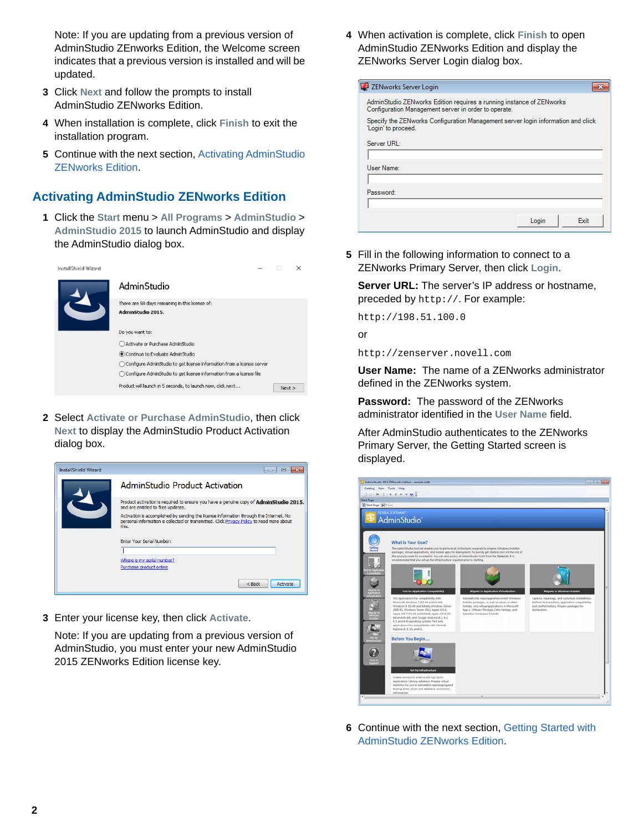Note: If you are updating from a previous version of AdminStudio ZEnworks Edition, the Welcome screen indicates that a previous version is installed and will be updated.

- **3** Click **Next** and follow the prompts to install AdminStudio ZENworks Edition.
- **4** When installation is complete, click **Finish** to exit the installation program.
- **5** Continue with the next section, [Activating AdminStudio](#page-1-0)  [ZENworks Edition](#page-1-0).

### <span id="page-1-0"></span>**Activating AdminStudio ZENworks Edition**

**1** Click the **Start** menu > **All Programs** > **AdminStudio** > **AdminStudio 2015** to launch AdminStudio and display the AdminStudio dialog box.

| AdminStudio<br>There are 58 days remaining in this license of:<br>AdminStudio 2015.<br>Do you want to:<br>Activate or Purchase AdminStudio<br>Continue to Evaluate AdminStudio<br>Configure AdminStudio to get license information from a license server<br>◯ Configure AdminStudio to get license information from a license file<br>Product will launch in 5 seconds, to launch now, click next<br>Next | stallShield Wizard |  | $\times$ |
|-----------------------------------------------------------------------------------------------------------------------------------------------------------------------------------------------------------------------------------------------------------------------------------------------------------------------------------------------------------------------------------------------------------|--------------------|--|----------|
|                                                                                                                                                                                                                                                                                                                                                                                                           |                    |  |          |
|                                                                                                                                                                                                                                                                                                                                                                                                           |                    |  |          |
|                                                                                                                                                                                                                                                                                                                                                                                                           |                    |  |          |
|                                                                                                                                                                                                                                                                                                                                                                                                           |                    |  |          |
|                                                                                                                                                                                                                                                                                                                                                                                                           |                    |  |          |
|                                                                                                                                                                                                                                                                                                                                                                                                           |                    |  |          |
|                                                                                                                                                                                                                                                                                                                                                                                                           |                    |  |          |

**2** Select **Activate or Purchase AdminStudio**, then click **Next** to display the AdminStudio Product Activation dialog box.



**3** Enter your license key, then click **Activate**.

Note: If you are updating from a previous version of AdminStudio, you must enter your new AdminStudio 2015 ZENworks Edition license key.

**4** When activation is complete, click **Finish** to open AdminStudio ZENworks Edition and display the ZENworks Server Login dialog box.

| ZENworks Server Login                                                                                                        |  |
|------------------------------------------------------------------------------------------------------------------------------|--|
| AdminStudio ZENworks Edition requires a running instance of ZENworks<br>Configuration Management server in order to operate. |  |
| Specify the ZENworks Configuration Management server login information and click<br>'Login' to proceed.                      |  |
| Server URL:                                                                                                                  |  |
|                                                                                                                              |  |
| User Name:                                                                                                                   |  |
|                                                                                                                              |  |
| Password:                                                                                                                    |  |
|                                                                                                                              |  |
| <b>Fxit</b><br>Login                                                                                                         |  |

**5** Fill in the following information to connect to a ZENworks Primary Server, then click **Login**.

**Server URL:** The server's IP address or hostname, preceded by http://. For example:

http://198.51.100.0

or

http://zenserver.novell.com

**User Name:** The name of a ZENworks administrator defined in the ZENworks system.

**Password:** The password of the ZENworks administrator identified in the **User Name** field.

After AdminStudio authenticates to the ZENworks Primary Server, the Getting Started screen is displayed.



**6** Continue with the next section, [Getting Started with](#page-2-0)  [AdminStudio ZENworks Edition.](#page-2-0)